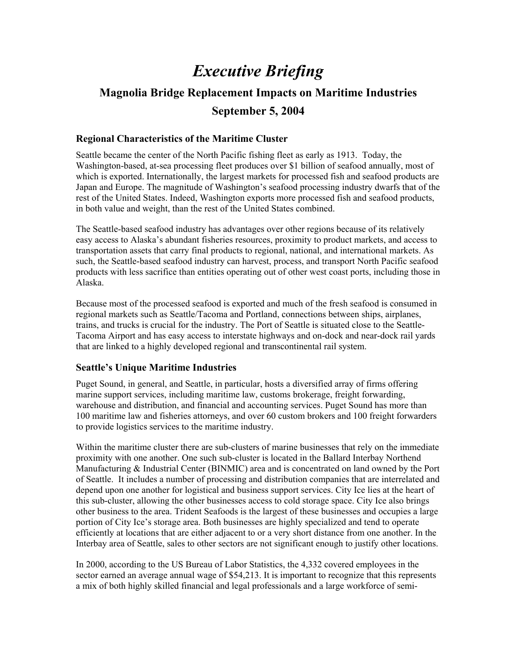# *Executive Briefing*

## **Magnolia Bridge Replacement Impacts on Maritime Industries September 5, 2004**

## **Regional Characteristics of the Maritime Cluster**

Seattle became the center of the North Pacific fishing fleet as early as 1913. Today, the Washington-based, at-sea processing fleet produces over \$1 billion of seafood annually, most of which is exported. Internationally, the largest markets for processed fish and seafood products are Japan and Europe. The magnitude of Washington's seafood processing industry dwarfs that of the rest of the United States. Indeed, Washington exports more processed fish and seafood products, in both value and weight, than the rest of the United States combined.

The Seattle-based seafood industry has advantages over other regions because of its relatively easy access to Alaska's abundant fisheries resources, proximity to product markets, and access to transportation assets that carry final products to regional, national, and international markets. As such, the Seattle-based seafood industry can harvest, process, and transport North Pacific seafood products with less sacrifice than entities operating out of other west coast ports, including those in Alaska.

Because most of the processed seafood is exported and much of the fresh seafood is consumed in regional markets such as Seattle/Tacoma and Portland, connections between ships, airplanes, trains, and trucks is crucial for the industry. The Port of Seattle is situated close to the Seattle-Tacoma Airport and has easy access to interstate highways and on-dock and near-dock rail yards that are linked to a highly developed regional and transcontinental rail system.

## **Seattle's Unique Maritime Industries**

Puget Sound, in general, and Seattle, in particular, hosts a diversified array of firms offering marine support services, including maritime law, customs brokerage, freight forwarding, warehouse and distribution, and financial and accounting services. Puget Sound has more than 100 maritime law and fisheries attorneys, and over 60 custom brokers and 100 freight forwarders to provide logistics services to the maritime industry.

Within the maritime cluster there are sub-clusters of marine businesses that rely on the immediate proximity with one another. One such sub-cluster is located in the Ballard Interbay Northend Manufacturing & Industrial Center (BINMIC) area and is concentrated on land owned by the Port of Seattle. It includes a number of processing and distribution companies that are interrelated and depend upon one another for logistical and business support services. City Ice lies at the heart of this sub-cluster, allowing the other businesses access to cold storage space. City Ice also brings other business to the area. Trident Seafoods is the largest of these businesses and occupies a large portion of City Ice's storage area. Both businesses are highly specialized and tend to operate efficiently at locations that are either adjacent to or a very short distance from one another. In the Interbay area of Seattle, sales to other sectors are not significant enough to justify other locations.

In 2000, according to the US Bureau of Labor Statistics, the 4,332 covered employees in the sector earned an average annual wage of \$54,213. It is important to recognize that this represents a mix of both highly skilled financial and legal professionals and a large workforce of semi-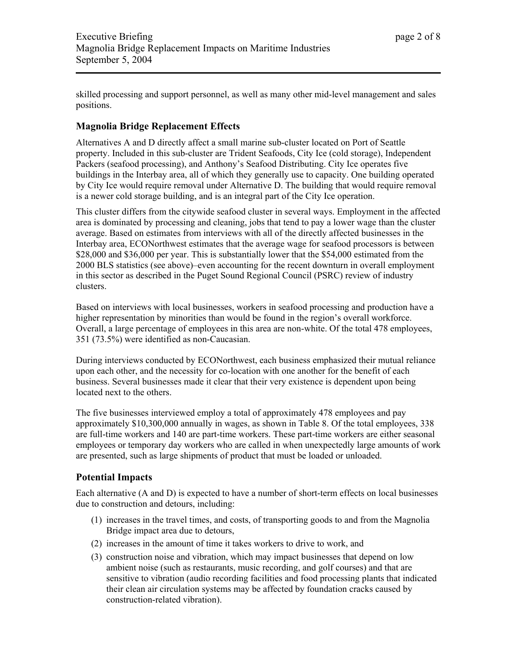skilled processing and support personnel, as well as many other mid-level management and sales positions.

## **Magnolia Bridge Replacement Effects**

Alternatives A and D directly affect a small marine sub-cluster located on Port of Seattle property. Included in this sub-cluster are Trident Seafoods, City Ice (cold storage), Independent Packers (seafood processing), and Anthony's Seafood Distributing. City Ice operates five buildings in the Interbay area, all of which they generally use to capacity. One building operated by City Ice would require removal under Alternative D. The building that would require removal is a newer cold storage building, and is an integral part of the City Ice operation.

This cluster differs from the citywide seafood cluster in several ways. Employment in the affected area is dominated by processing and cleaning, jobs that tend to pay a lower wage than the cluster average. Based on estimates from interviews with all of the directly affected businesses in the Interbay area, ECONorthwest estimates that the average wage for seafood processors is between \$28,000 and \$36,000 per year. This is substantially lower that the \$54,000 estimated from the 2000 BLS statistics (see above)–even accounting for the recent downturn in overall employment in this sector as described in the Puget Sound Regional Council (PSRC) review of industry clusters.

Based on interviews with local businesses, workers in seafood processing and production have a higher representation by minorities than would be found in the region's overall workforce. Overall, a large percentage of employees in this area are non-white. Of the total 478 employees, 351 (73.5%) were identified as non-Caucasian.

During interviews conducted by ECONorthwest, each business emphasized their mutual reliance upon each other, and the necessity for co-location with one another for the benefit of each business. Several businesses made it clear that their very existence is dependent upon being located next to the others.

The five businesses interviewed employ a total of approximately 478 employees and pay approximately \$10,300,000 annually in wages, as shown in Table 8. Of the total employees, 338 are full-time workers and 140 are part-time workers. These part-time workers are either seasonal employees or temporary day workers who are called in when unexpectedly large amounts of work are presented, such as large shipments of product that must be loaded or unloaded.

## **Potential Impacts**

Each alternative (A and D) is expected to have a number of short-term effects on local businesses due to construction and detours, including:

- (1) increases in the travel times, and costs, of transporting goods to and from the Magnolia Bridge impact area due to detours,
- (2) increases in the amount of time it takes workers to drive to work, and
- (3) construction noise and vibration, which may impact businesses that depend on low ambient noise (such as restaurants, music recording, and golf courses) and that are sensitive to vibration (audio recording facilities and food processing plants that indicated their clean air circulation systems may be affected by foundation cracks caused by construction-related vibration).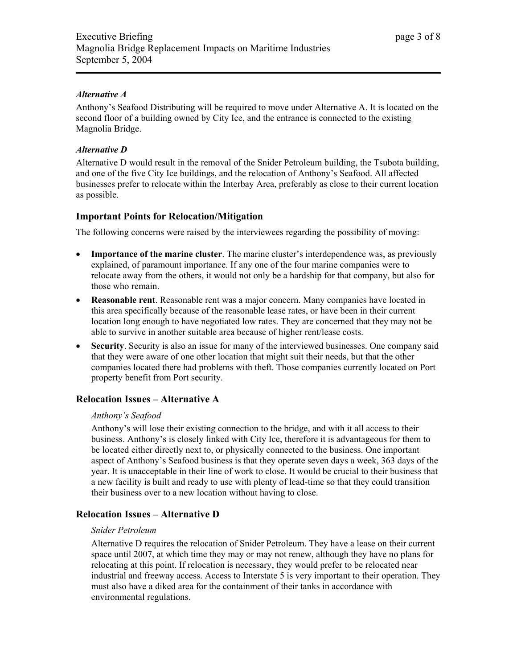## *Alternative A*

Anthony's Seafood Distributing will be required to move under Alternative A. It is located on the second floor of a building owned by City Ice, and the entrance is connected to the existing Magnolia Bridge.

### *Alternative D*

Alternative D would result in the removal of the Snider Petroleum building, the Tsubota building, and one of the five City Ice buildings, and the relocation of Anthony's Seafood. All affected businesses prefer to relocate within the Interbay Area, preferably as close to their current location as possible.

## **Important Points for Relocation/Mitigation**

The following concerns were raised by the interviewees regarding the possibility of moving:

- **Importance of the marine cluster**. The marine cluster's interdependence was, as previously explained, of paramount importance. If any one of the four marine companies were to relocate away from the others, it would not only be a hardship for that company, but also for those who remain.
- **Reasonable rent**. Reasonable rent was a major concern. Many companies have located in this area specifically because of the reasonable lease rates, or have been in their current location long enough to have negotiated low rates. They are concerned that they may not be able to survive in another suitable area because of higher rent/lease costs.
- **Security**. Security is also an issue for many of the interviewed businesses. One company said that they were aware of one other location that might suit their needs, but that the other companies located there had problems with theft. Those companies currently located on Port property benefit from Port security.

## **Relocation Issues – Alternative A**

#### *Anthony's Seafood*

Anthony's will lose their existing connection to the bridge, and with it all access to their business. Anthony's is closely linked with City Ice, therefore it is advantageous for them to be located either directly next to, or physically connected to the business. One important aspect of Anthony's Seafood business is that they operate seven days a week, 363 days of the year. It is unacceptable in their line of work to close. It would be crucial to their business that a new facility is built and ready to use with plenty of lead-time so that they could transition their business over to a new location without having to close.

## **Relocation Issues – Alternative D**

#### *Snider Petroleum*

Alternative D requires the relocation of Snider Petroleum. They have a lease on their current space until 2007, at which time they may or may not renew, although they have no plans for relocating at this point. If relocation is necessary, they would prefer to be relocated near industrial and freeway access. Access to Interstate 5 is very important to their operation. They must also have a diked area for the containment of their tanks in accordance with environmental regulations.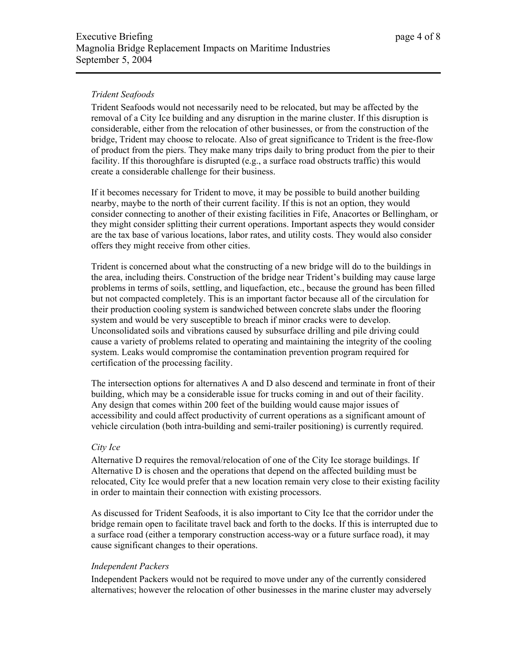## *Trident Seafoods*

Trident Seafoods would not necessarily need to be relocated, but may be affected by the removal of a City Ice building and any disruption in the marine cluster. If this disruption is considerable, either from the relocation of other businesses, or from the construction of the bridge, Trident may choose to relocate. Also of great significance to Trident is the free-flow of product from the piers. They make many trips daily to bring product from the pier to their facility. If this thoroughfare is disrupted (e.g., a surface road obstructs traffic) this would create a considerable challenge for their business.

If it becomes necessary for Trident to move, it may be possible to build another building nearby, maybe to the north of their current facility. If this is not an option, they would consider connecting to another of their existing facilities in Fife, Anacortes or Bellingham, or they might consider splitting their current operations. Important aspects they would consider are the tax base of various locations, labor rates, and utility costs. They would also consider offers they might receive from other cities.

Trident is concerned about what the constructing of a new bridge will do to the buildings in the area, including theirs. Construction of the bridge near Trident's building may cause large problems in terms of soils, settling, and liquefaction, etc., because the ground has been filled but not compacted completely. This is an important factor because all of the circulation for their production cooling system is sandwiched between concrete slabs under the flooring system and would be very susceptible to breach if minor cracks were to develop. Unconsolidated soils and vibrations caused by subsurface drilling and pile driving could cause a variety of problems related to operating and maintaining the integrity of the cooling system. Leaks would compromise the contamination prevention program required for certification of the processing facility.

The intersection options for alternatives A and D also descend and terminate in front of their building, which may be a considerable issue for trucks coming in and out of their facility. Any design that comes within 200 feet of the building would cause major issues of accessibility and could affect productivity of current operations as a significant amount of vehicle circulation (both intra-building and semi-trailer positioning) is currently required.

#### *City Ice*

Alternative D requires the removal/relocation of one of the City Ice storage buildings. If Alternative D is chosen and the operations that depend on the affected building must be relocated, City Ice would prefer that a new location remain very close to their existing facility in order to maintain their connection with existing processors.

As discussed for Trident Seafoods, it is also important to City Ice that the corridor under the bridge remain open to facilitate travel back and forth to the docks. If this is interrupted due to a surface road (either a temporary construction access-way or a future surface road), it may cause significant changes to their operations.

#### *Independent Packers*

Independent Packers would not be required to move under any of the currently considered alternatives; however the relocation of other businesses in the marine cluster may adversely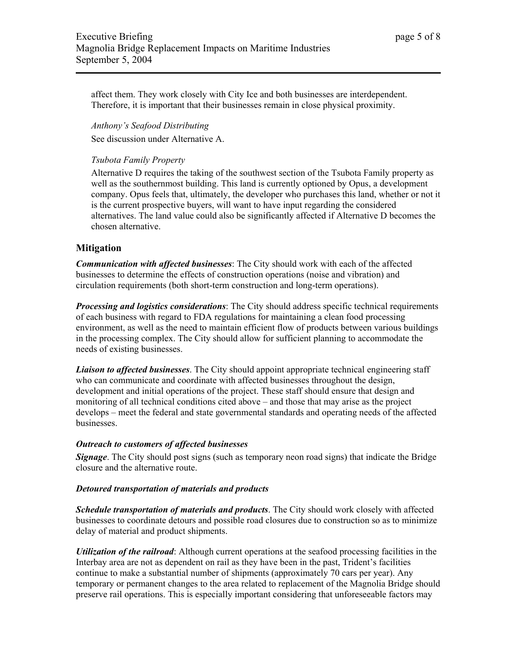affect them. They work closely with City Ice and both businesses are interdependent. Therefore, it is important that their businesses remain in close physical proximity.

*Anthony's Seafood Distributing*  See discussion under Alternative A.

#### *Tsubota Family Property*

Alternative D requires the taking of the southwest section of the Tsubota Family property as well as the southernmost building. This land is currently optioned by Opus, a development company. Opus feels that, ultimately, the developer who purchases this land, whether or not it is the current prospective buyers, will want to have input regarding the considered alternatives. The land value could also be significantly affected if Alternative D becomes the chosen alternative.

## **Mitigation**

*Communication with affected businesses*: The City should work with each of the affected businesses to determine the effects of construction operations (noise and vibration) and circulation requirements (both short-term construction and long-term operations).

*Processing and logistics considerations*: The City should address specific technical requirements of each business with regard to FDA regulations for maintaining a clean food processing environment, as well as the need to maintain efficient flow of products between various buildings in the processing complex. The City should allow for sufficient planning to accommodate the needs of existing businesses.

*Liaison to affected businesses*. The City should appoint appropriate technical engineering staff who can communicate and coordinate with affected businesses throughout the design, development and initial operations of the project. These staff should ensure that design and monitoring of all technical conditions cited above – and those that may arise as the project develops – meet the federal and state governmental standards and operating needs of the affected businesses.

#### *Outreach to customers of affected businesses*

*Signage*. The City should post signs (such as temporary neon road signs) that indicate the Bridge closure and the alternative route.

#### *Detoured transportation of materials and products*

*Schedule transportation of materials and products*. The City should work closely with affected businesses to coordinate detours and possible road closures due to construction so as to minimize delay of material and product shipments.

*Utilization of the railroad*: Although current operations at the seafood processing facilities in the Interbay area are not as dependent on rail as they have been in the past, Trident's facilities continue to make a substantial number of shipments (approximately 70 cars per year). Any temporary or permanent changes to the area related to replacement of the Magnolia Bridge should preserve rail operations. This is especially important considering that unforeseeable factors may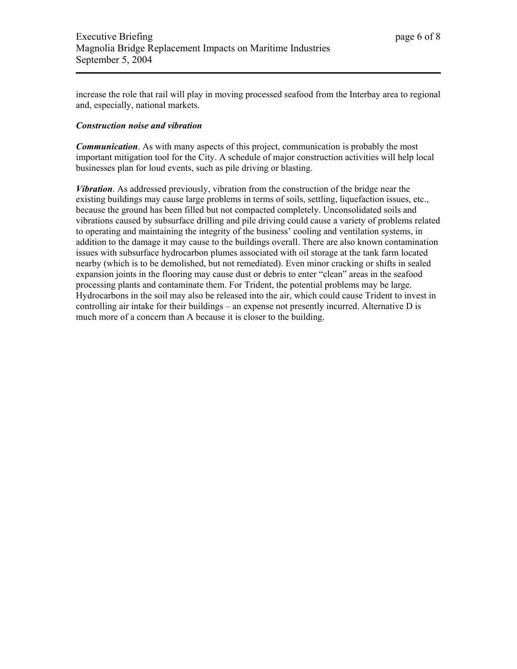increase the role that rail will play in moving processed seafood from the Interbay area to regional and, especially, national markets.

#### *Construction noise and vibration*

*Communication.* As with many aspects of this project, communication is probably the most important mitigation tool for the City. A schedule of major construction activities will help local businesses plan for loud events, such as pile driving or blasting.

*Vibration*. As addressed previously, vibration from the construction of the bridge near the existing buildings may cause large problems in terms of soils, settling, liquefaction issues, etc., because the ground has been filled but not compacted completely. Unconsolidated soils and vibrations caused by subsurface drilling and pile driving could cause a variety of problems related to operating and maintaining the integrity of the business' cooling and ventilation systems, in addition to the damage it may cause to the buildings overall. There are also known contamination issues with subsurface hydrocarbon plumes associated with oil storage at the tank farm located nearby (which is to be demolished, but not remediated). Even minor cracking or shifts in sealed expansion joints in the flooring may cause dust or debris to enter "clean" areas in the seafood processing plants and contaminate them. For Trident, the potential problems may be large. Hydrocarbons in the soil may also be released into the air, which could cause Trident to invest in controlling air intake for their buildings – an expense not presently incurred. Alternative D is much more of a concern than A because it is closer to the building.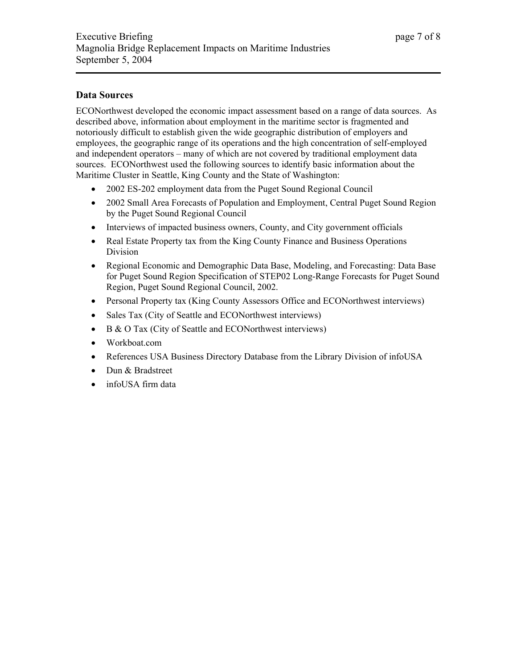## **Data Sources**

ECONorthwest developed the economic impact assessment based on a range of data sources. As described above, information about employment in the maritime sector is fragmented and notoriously difficult to establish given the wide geographic distribution of employers and employees, the geographic range of its operations and the high concentration of self-employed and independent operators – many of which are not covered by traditional employment data sources. ECONorthwest used the following sources to identify basic information about the Maritime Cluster in Seattle, King County and the State of Washington:

- 2002 ES-202 employment data from the Puget Sound Regional Council
- 2002 Small Area Forecasts of Population and Employment, Central Puget Sound Region by the Puget Sound Regional Council
- Interviews of impacted business owners, County, and City government officials
- Real Estate Property tax from the King County Finance and Business Operations Division
- Regional Economic and Demographic Data Base, Modeling, and Forecasting: Data Base for Puget Sound Region Specification of STEP02 Long-Range Forecasts for Puget Sound Region, Puget Sound Regional Council, 2002.
- Personal Property tax (King County Assessors Office and ECONorthwest interviews)
- Sales Tax (City of Seattle and ECONorthwest interviews)
- B & O Tax (City of Seattle and ECONorthwest interviews)
- Workboat.com
- References USA Business Directory Database from the Library Division of infoUSA
- Dun & Bradstreet
- infoUSA firm data